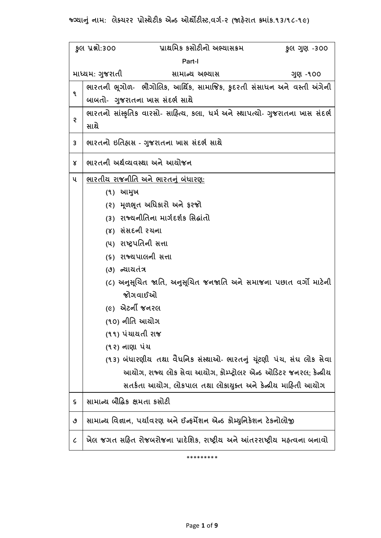**જ્ગ્યાન ું નામ: લેક્ચરર પ્રોસ્થેટીક એન્ડ રથથોટટીસ્ટ,વર્ગ-૨ (જાહેરાત ક્રમાુંક.૧૩/૧૮-૧૯)** 

|                             | પ્રાથમિક કસોટીનો અભ્યાસક્રમ<br>કુલ પ્રશ્નો:300<br>કુલ ગુણ -300                 |  |
|-----------------------------|--------------------------------------------------------------------------------|--|
| Part-I                      |                                                                                |  |
|                             | માધ્યમ: ગુજરાતી<br>સામાન્ય અભ્યાસ<br>ગુણ -૧૦૦                                  |  |
| ۹                           | ભારતની ભૂગોળ- ભૌગોલિક, આર્થિક, સામાજિક, કુદરતી સંસાધન અને વસ્તી અંગેની         |  |
|                             | બાબતો- ગુજરાતના ખાસ સંદર્ભ સાથે                                                |  |
| Ş                           | ભારતનો સાંસ્કૃતિક વારસો- સાહિત્ય, કલા, ધર્મ અને સ્થાપત્યો- ગુજરાતના ખાસ સંદર્ભ |  |
|                             | સાથે                                                                           |  |
| 3                           | ભારતનો ઇતિહ્રાસ - ગુજરાતના ખાસ સંદર્ભ સાથે                                     |  |
| Χ                           | ભારતની અર્થવ્યવસ્થા અને આયોજન                                                  |  |
| ૫                           | ભારતીય રાજનીતિ અને ભારતનું બંધારણ:                                             |  |
|                             | (૧) આમુખ                                                                       |  |
|                             | (૨) મૂળભૂત અધિકારો અને ફરજો                                                    |  |
|                             | (૩)  રાજ્યનીતિના માર્ગદર્શક સિદ્ધાંતો                                          |  |
|                             | (४) સંસદની રચના                                                                |  |
|                             | (૫) રાષ્ટ્રપતિની સત્તા                                                         |  |
|                             | (૬) રાજ્યપાલની સત્તા                                                           |  |
|                             | (૭) ન્યાયતંત્ર                                                                 |  |
|                             | (૮) અનુસૂચિત જાતિ, અનુસૂચિત જનજાતિ અને સમાજના પછાત વર્ગો માટેની<br>જોગવાઈઓ     |  |
|                             | <i>(૯)</i> એટર્ની જનરલ                                                         |  |
|                             | (૧૦) નીતિ આચોગ                                                                 |  |
|                             | (૧૧) પંચાયતી રાજ                                                               |  |
|                             | (૧૨) નાણા પંચ                                                                  |  |
|                             | (૧૩) બંધારણીય તથા વૈધનિક સંસ્થાઓ- ભારતનું ચૂંટણી પંચ, સંઘ લોક સેવા             |  |
|                             | આયોગ, રાજ્ય લોક સેવા આયોગ, કોમ્પ્ટ્રોલર એન્ડ ઓડિટર જનરલ; કેન્દ્રીય             |  |
|                             | સતર્કતા આયોગ, લોકપાલ તથા લોકાયુક્ત અને કેન્દ્રીય માહિતી આયોગ                   |  |
| ς                           | સામાન્ય બૌદ્ધિક ક્ષમતા કસોટી                                                   |  |
| ٯ                           | સામાન્ય વિજ્ઞાન, પર્યાવરણ અને ઈન્ફર્મેશન એન્ડ કોમ્યુનિકેશન ટેકનોલોજી           |  |
| $\mathcal{C}_{\mathcal{C}}$ | ખેલ જગત સહિત રોજબરોજના પ્રાદેશિક, રાષ્ટ્રીય અને આંતરરાષ્ટ્રીય મહ્ત્વના બનાવો   |  |

\*\*\*\*\*\*\*\*\*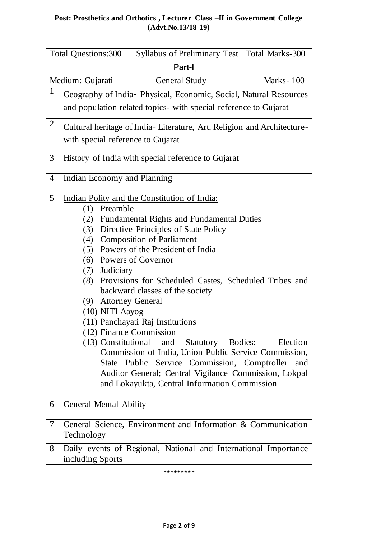# **Post: Prosthetics and Orthotics , Lecturer Class –II in Government College (Advt.No.13/18-19)**

| Syllabus of Preliminary Test Total Marks-300<br>Total Questions:300 |                                                                                                 |  |
|---------------------------------------------------------------------|-------------------------------------------------------------------------------------------------|--|
| Part-I                                                              |                                                                                                 |  |
|                                                                     | Marks-100<br>Medium: Gujarati<br><b>General Study</b>                                           |  |
| $\mathbf{1}$                                                        | Geography of India- Physical, Economic, Social, Natural Resources                               |  |
|                                                                     | and population related topics- with special reference to Gujarat                                |  |
| $\overline{2}$                                                      | Cultural heritage of India-Literature, Art, Religion and Architecture-                          |  |
|                                                                     | with special reference to Gujarat                                                               |  |
| 3                                                                   | History of India with special reference to Gujarat                                              |  |
| 4                                                                   | Indian Economy and Planning                                                                     |  |
| 5                                                                   | Indian Polity and the Constitution of India:                                                    |  |
|                                                                     | Preamble<br>(1)<br><b>Fundamental Rights and Fundamental Duties</b><br>(2)                      |  |
|                                                                     | (3) Directive Principles of State Policy                                                        |  |
|                                                                     | (4) Composition of Parliament                                                                   |  |
|                                                                     | (5) Powers of the President of India                                                            |  |
|                                                                     | (6) Powers of Governor                                                                          |  |
|                                                                     | (7) Judiciary                                                                                   |  |
|                                                                     | Provisions for Scheduled Castes, Scheduled Tribes and<br>(8)<br>backward classes of the society |  |
|                                                                     | <b>Attorney General</b><br>(9)                                                                  |  |
|                                                                     | (10) NITI Aayog                                                                                 |  |
|                                                                     | (11) Panchayati Raj Institutions<br>(12) Finance Commission                                     |  |
|                                                                     | (13) Constitutional<br>and<br>Statutory Bodies:<br>Election                                     |  |
|                                                                     | Commission of India, Union Public Service Commission,                                           |  |
|                                                                     | State Public Service Commission, Comptroller and                                                |  |
|                                                                     | Auditor General; Central Vigilance Commission, Lokpal                                           |  |
|                                                                     | and Lokayukta, Central Information Commission                                                   |  |
|                                                                     |                                                                                                 |  |
| 6                                                                   | General Mental Ability                                                                          |  |
| 7                                                                   | General Science, Environment and Information & Communication<br>Technology                      |  |
| 8                                                                   | Daily events of Regional, National and International Importance                                 |  |
|                                                                     | including Sports                                                                                |  |

\*\*\*\*\*\*\*\*\*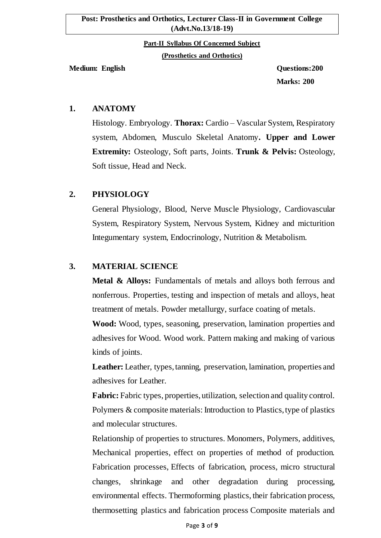#### **Post: Prosthetics and Orthotics, Lecturer Class-II in Government College (Advt.No.13/18-19)**

**Part-II Syllabus Of Concerned Subject**

**(Prosthetics and Orthotics)**

**Medium: English Questions:200**

**Marks: 200**

## **1. ANATOMY**

Histology. Embryology. **Thorax:** Cardio – Vascular System, Respiratory system, Abdomen, Musculo Skeletal Anatomy**. Upper and Lower Extremity:** Osteology, Soft parts, Joints. **Trunk & Pelvis:** Osteology, Soft tissue, Head and Neck.

# **2. PHYSIOLOGY**

General Physiology, Blood, Nerve Muscle Physiology, Cardiovascular System, Respiratory System, Nervous System, Kidney and micturition Integumentary system, Endocrinology, Nutrition & Metabolism.

# **3. MATERIAL SCIENCE**

**Metal & Alloys:** Fundamentals of metals and alloys both ferrous and nonferrous. Properties, testing and inspection of metals and alloys, heat treatment of metals. Powder metallurgy, surface coating of metals.

**Wood:** Wood, types, seasoning, preservation, lamination properties and adhesives for Wood. Wood work. Pattern making and making of various kinds of joints.

Leather: Leather, types, tanning, preservation, lamination, properties and adhesives for Leather.

**Fabric:** Fabric types, properties, utilization, selection and quality control. Polymers & composite materials: Introduction to Plastics, type of plastics and molecular structures.

Relationship of properties to structures. Monomers, Polymers, additives, Mechanical properties, effect on properties of method of production. Fabrication processes, Effects of fabrication, process, micro structural changes, shrinkage and other degradation during processing, environmental effects. Thermoforming plastics, their fabrication process, thermosetting plastics and fabrication process Composite materials and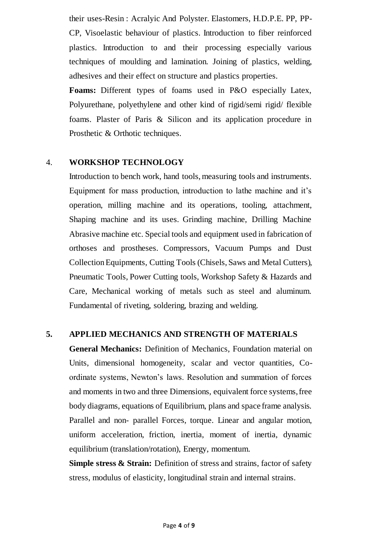their uses-Resin : Acralyic And Polyster. Elastomers, H.D.P.E. PP, PP-CP, Visoelastic behaviour of plastics. Introduction to fiber reinforced plastics. Introduction to and their processing especially various techniques of moulding and lamination. Joining of plastics, welding, adhesives and their effect on structure and plastics properties.

**Foams:** Different types of foams used in P&O especially Latex, Polyurethane, polyethylene and other kind of rigid/semi rigid/ flexible foams. Plaster of Paris & Silicon and its application procedure in Prosthetic & Orthotic techniques.

#### 4. **WORKSHOP TECHNOLOGY**

Introduction to bench work, hand tools, measuring tools and instruments. Equipment for mass production, introduction to lathe machine and it's operation, milling machine and its operations, tooling, attachment, Shaping machine and its uses. Grinding machine, Drilling Machine Abrasive machine etc. Special tools and equipment used in fabrication of orthoses and prostheses. Compressors, Vacuum Pumps and Dust Collection Equipments, Cutting Tools (Chisels, Saws and Metal Cutters), Pneumatic Tools, Power Cutting tools, Workshop Safety & Hazards and Care, Mechanical working of metals such as steel and aluminum. Fundamental of riveting, soldering, brazing and welding.

### **5. APPLIED MECHANICS AND STRENGTH OF MATERIALS**

**General Mechanics:** Definition of Mechanics, Foundation material on Units, dimensional homogeneity, scalar and vector quantities, Coordinate systems, Newton's laws. Resolution and summation of forces and moments in two and three Dimensions, equivalent force systems, free body diagrams, equations of Equilibrium, plans and space frame analysis. Parallel and non- parallel Forces, torque. Linear and angular motion, uniform acceleration, friction, inertia, moment of inertia, dynamic equilibrium (translation/rotation), Energy, momentum.

**Simple stress & Strain:** Definition of stress and strains, factor of safety stress, modulus of elasticity, longitudinal strain and internal strains.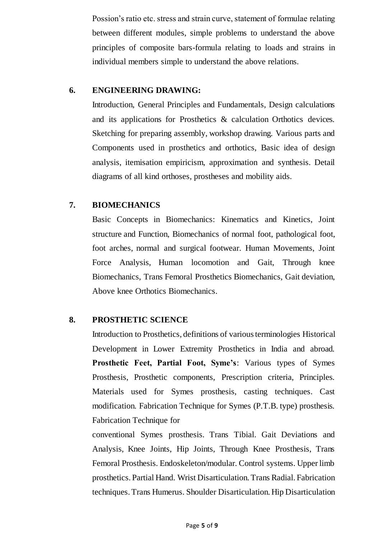Possion's ratio etc. stress and strain curve, statement of formulae relating between different modules, simple problems to understand the above principles of composite bars-formula relating to loads and strains in individual members simple to understand the above relations.

## **6. ENGINEERING DRAWING:**

Introduction, General Principles and Fundamentals, Design calculations and its applications for Prosthetics & calculation Orthotics devices. Sketching for preparing assembly, workshop drawing. Various parts and Components used in prosthetics and orthotics, Basic idea of design analysis, itemisation empiricism, approximation and synthesis. Detail diagrams of all kind orthoses, prostheses and mobility aids.

# **7. BIOMECHANICS**

Basic Concepts in Biomechanics: Kinematics and Kinetics, Joint structure and Function, Biomechanics of normal foot, pathological foot, foot arches, normal and surgical footwear. Human Movements, Joint Force Analysis, Human locomotion and Gait, Through knee Biomechanics, Trans Femoral Prosthetics Biomechanics, Gait deviation, Above knee Orthotics Biomechanics.

# **8. PROSTHETIC SCIENCE**

Introduction to Prosthetics, definitions of various terminologies Historical Development in Lower Extremity Prosthetics in India and abroad. **Prosthetic Feet, Partial Foot, Syme's**: Various types of Symes Prosthesis, Prosthetic components, Prescription criteria, Principles. Materials used for Symes prosthesis, casting techniques. Cast modification. Fabrication Technique for Symes (P.T.B. type) prosthesis. Fabrication Technique for

conventional Symes prosthesis. Trans Tibial. Gait Deviations and Analysis, Knee Joints, Hip Joints, Through Knee Prosthesis, Trans Femoral Prosthesis. Endoskeleton/modular. Control systems. Upper limb prosthetics. Partial Hand. Wrist Disarticulation. Trans Radial. Fabrication techniques. Trans Humerus. Shoulder Disarticulation. Hip Disarticulation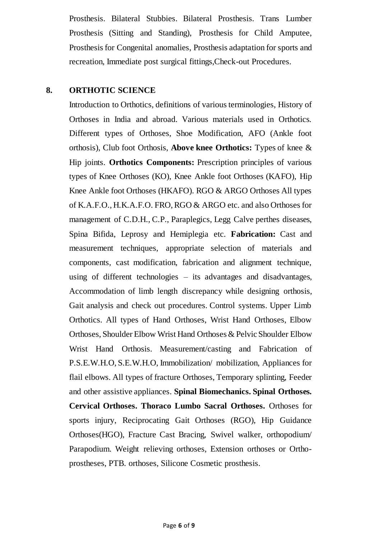Prosthesis. Bilateral Stubbies. Bilateral Prosthesis. Trans Lumber Prosthesis (Sitting and Standing), Prosthesis for Child Amputee, Prosthesis for Congenital anomalies, Prosthesis adaptation for sports and recreation, Immediate post surgical fittings,Check-out Procedures.

### **8. ORTHOTIC SCIENCE**

Introduction to Orthotics, definitions of various terminologies, History of Orthoses in India and abroad. Various materials used in Orthotics. Different types of Orthoses, Shoe Modification, AFO (Ankle foot orthosis), Club foot Orthosis, **Above knee Orthotics:** Types of knee & Hip joints. **Orthotics Components:** Prescription principles of various types of Knee Orthoses (KO), Knee Ankle foot Orthoses (KAFO), Hip Knee Ankle foot Orthoses (HKAFO). RGO & ARGO Orthoses All types of K.A.F.O., H.K.A.F.O. FRO, RGO & ARGO etc. and also Orthoses for management of C.D.H., C.P., Paraplegics, Legg Calve perthes diseases, Spina Bifida, Leprosy and Hemiplegia etc. **Fabrication:** Cast and measurement techniques, appropriate selection of materials and components, cast modification, fabrication and alignment technique, using of different technologies – its advantages and disadvantages, Accommodation of limb length discrepancy while designing orthosis, Gait analysis and check out procedures. Control systems. Upper Limb Orthotics. All types of Hand Orthoses, Wrist Hand Orthoses, Elbow Orthoses, Shoulder Elbow Wrist Hand Orthoses & Pelvic Shoulder Elbow Wrist Hand Orthosis. Measurement/casting and Fabrication of P.S.E.W.H.O, S.E.W.H.O, Immobilization/ mobilization, Appliances for flail elbows. All types of fracture Orthoses, Temporary splinting, Feeder and other assistive appliances. **Spinal Biomechanics. Spinal Orthoses. Cervical Orthoses. Thoraco Lumbo Sacral Orthoses.** Orthoses for sports injury, Reciprocating Gait Orthoses (RGO), Hip Guidance Orthoses(HGO), Fracture Cast Bracing, Swivel walker, orthopodium/ Parapodium. Weight relieving orthoses, Extension orthoses or Orthoprostheses, PTB. orthoses, Silicone Cosmetic prosthesis.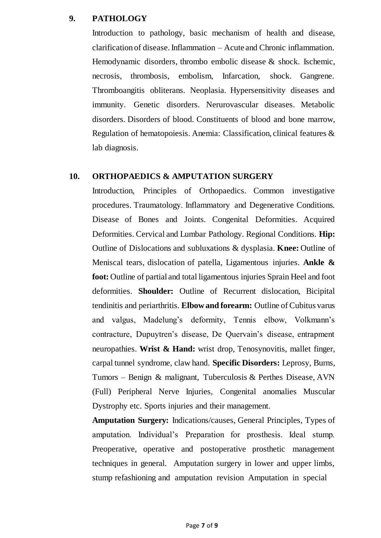#### **9. PATHOLOGY**

Introduction to pathology, basic mechanism of health and disease, clarification of disease. Inflammation – Acute and Chronic inflammation. Hemodynamic disorders, thrombo embolic disease & shock. Ischemic, necrosis, thrombosis, embolism, Infarcation, shock. Gangrene. Thromboangitis obliterans. Neoplasia. Hypersensitivity diseases and immunity. Genetic disorders. Nerurovascular diseases. Metabolic disorders. Disorders of blood. Constituents of blood and bone marrow, Regulation of hematopoiesis. Anemia: Classification, clinical features & lab diagnosis.

#### **10. ORTHOPAEDICS & AMPUTATION SURGERY**

Introduction, Principles of Orthopaedics. Common investigative procedures. Traumatology. Inflammatory and Degenerative Conditions. Disease of Bones and Joints. Congenital Deformities. Acquired Deformities. Cervical and Lumbar Pathology. Regional Conditions. **Hip:**  Outline of Dislocations and subluxations & dysplasia. **Knee:** Outline of Meniscal tears, dislocation of patella, Ligamentous injuries. **Ankle & foot:** Outline of partial and total ligamentous injuries Sprain Heel and foot deformities. **Shoulder:** Outline of Recurrent dislocation, Bicipital tendinitis and periarthritis. **Elbow and forearm:** Outline of Cubitus varus and valgus, Madelung's deformity, Tennis elbow, Volkmann's contracture, Dupuytren's disease, De Quervain's disease, entrapment neuropathies. **Wrist & Hand:** wrist drop, Tenosynovitis, mallet finger, carpal tunnel syndrome, claw hand. **Specific Disorders:** Leprosy, Burns, Tumors – Benign & malignant, Tuberculosis & Perthes Disease, AVN (Full) Peripheral Nerve Injuries, Congenital anomalies Muscular Dystrophy etc. Sports injuries and their management.

**Amputation Surgery:** Indications/causes, General Principles, Types of amputation. Individual's Preparation for prosthesis. Ideal stump. Preoperative, operative and postoperative prosthetic management techniques in general. Amputation surgery in lower and upper limbs, stump refashioning and amputation revision Amputation in special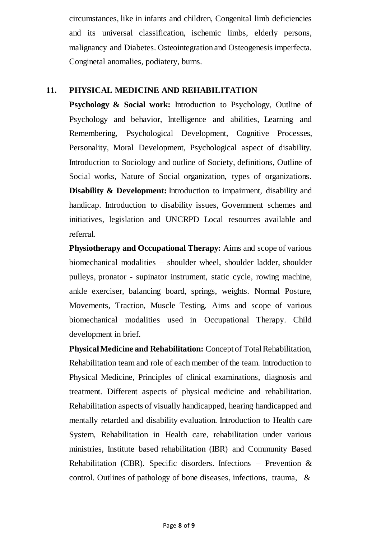circumstances, like in infants and children, Congenital limb deficiencies and its universal classification, ischemic limbs, elderly persons, malignancy and Diabetes. Osteointegration and Osteogenesis imperfecta. Conginetal anomalies, podiatery, burns.

## **11. PHYSICAL MEDICINE AND REHABILITATION**

**Psychology & Social work:** Introduction to Psychology, Outline of Psychology and behavior, Intelligence and abilities, Learning and Remembering, Psychological Development, Cognitive Processes, Personality, Moral Development, Psychological aspect of disability. Introduction to Sociology and outline of Society, definitions, Outline of Social works, Nature of Social organization, types of organizations. **Disability & Development:** Introduction to impairment, disability and handicap. Introduction to disability issues, Government schemes and initiatives, legislation and UNCRPD Local resources available and referral.

**Physiotherapy and Occupational Therapy:** Aims and scope of various biomechanical modalities – shoulder wheel, shoulder ladder, shoulder pulleys, pronator - supinator instrument, static cycle, rowing machine, ankle exerciser, balancing board, springs, weights. Normal Posture, Movements, Traction, Muscle Testing. Aims and scope of various biomechanical modalities used in Occupational Therapy. Child development in brief.

**Physical Medicine and Rehabilitation:** Concept of Total Rehabilitation, Rehabilitation team and role of each member of the team. Introduction to Physical Medicine, Principles of clinical examinations, diagnosis and treatment. Different aspects of physical medicine and rehabilitation. Rehabilitation aspects of visually handicapped, hearing handicapped and mentally retarded and disability evaluation. Introduction to Health care System, Rehabilitation in Health care, rehabilitation under various ministries, Institute based rehabilitation (IBR) and Community Based Rehabilitation (CBR). Specific disorders. Infections – Prevention  $\&$ control. Outlines of pathology of bone diseases, infections, trauma, &